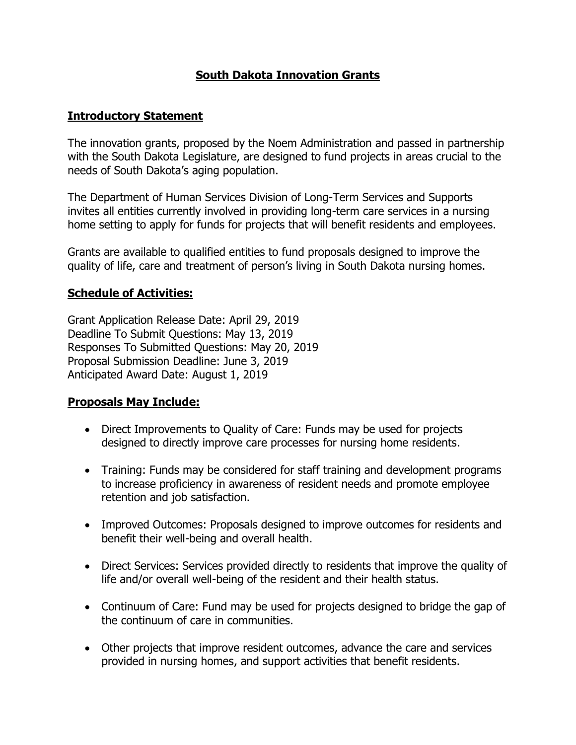# **South Dakota Innovation Grants**

#### **Introductory Statement**

The innovation grants, proposed by the Noem Administration and passed in partnership with the South Dakota Legislature, are designed to fund projects in areas crucial to the needs of South Dakota's aging population.

The Department of Human Services Division of Long-Term Services and Supports invites all entities currently involved in providing long-term care services in a nursing home setting to apply for funds for projects that will benefit residents and employees.

Grants are available to qualified entities to fund proposals designed to improve the quality of life, care and treatment of person's living in South Dakota nursing homes.

#### **Schedule of Activities:**

Grant Application Release Date: April 29, 2019 Deadline To Submit Questions: May 13, 2019 Responses To Submitted Questions: May 20, 2019 Proposal Submission Deadline: June 3, 2019 Anticipated Award Date: August 1, 2019

#### **Proposals May Include:**

- Direct Improvements to Quality of Care: Funds may be used for projects designed to directly improve care processes for nursing home residents.
- Training: Funds may be considered for staff training and development programs to increase proficiency in awareness of resident needs and promote employee retention and job satisfaction.
- Improved Outcomes: Proposals designed to improve outcomes for residents and benefit their well-being and overall health.
- Direct Services: Services provided directly to residents that improve the quality of life and/or overall well-being of the resident and their health status.
- Continuum of Care: Fund may be used for projects designed to bridge the gap of the continuum of care in communities.
- Other projects that improve resident outcomes, advance the care and services provided in nursing homes, and support activities that benefit residents.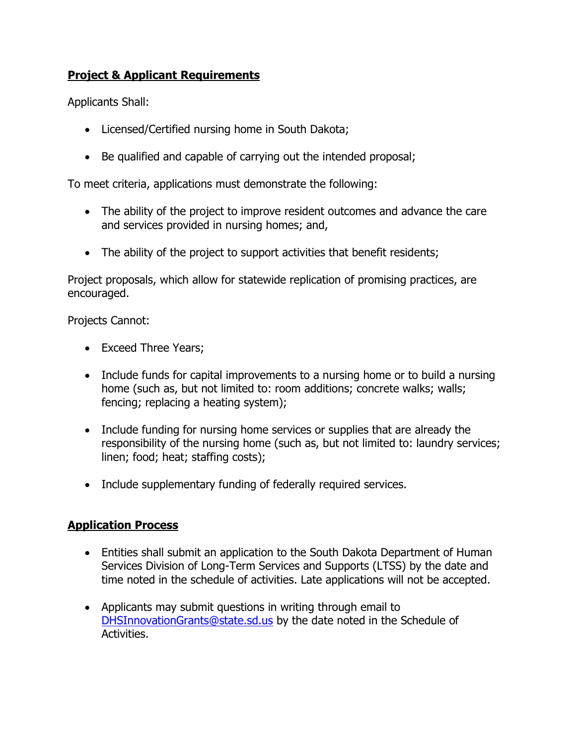# **Project & Applicant Requirements**

Applicants Shall:

- Licensed/Certified nursing home in South Dakota;
- Be qualified and capable of carrying out the intended proposal;

To meet criteria, applications must demonstrate the following:

- The ability of the project to improve resident outcomes and advance the care and services provided in nursing homes; and,
- The ability of the project to support activities that benefit residents;

Project proposals, which allow for statewide replication of promising practices, are encouraged.

Projects Cannot:

- Exceed Three Years;
- Include funds for capital improvements to a nursing home or to build a nursing home (such as, but not limited to: room additions; concrete walks; walls; fencing; replacing a heating system);
- Include funding for nursing home services or supplies that are already the responsibility of the nursing home (such as, but not limited to: laundry services; linen; food; heat; staffing costs);
- Include supplementary funding of federally required services.

#### **Application Process**

- Entities shall submit an application to the South Dakota Department of Human Services Division of Long-Term Services and Supports (LTSS) by the date and time noted in the schedule of activities. Late applications will not be accepted.
- Applicants may submit questions in writing through email to DHSInnovationGrants@state.sd.us by the date noted in the Schedule of Activities.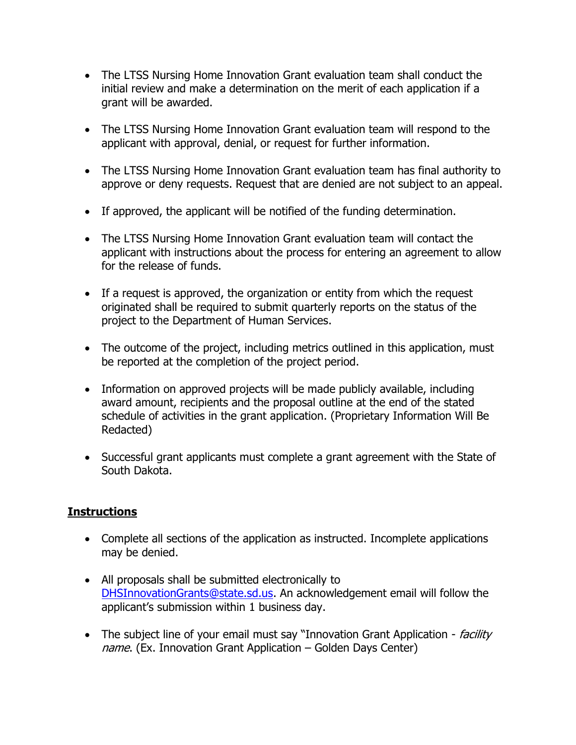- The LTSS Nursing Home Innovation Grant evaluation team shall conduct the initial review and make a determination on the merit of each application if a grant will be awarded.
- The LTSS Nursing Home Innovation Grant evaluation team will respond to the applicant with approval, denial, or request for further information.
- The LTSS Nursing Home Innovation Grant evaluation team has final authority to approve or deny requests. Request that are denied are not subject to an appeal.
- If approved, the applicant will be notified of the funding determination.
- The LTSS Nursing Home Innovation Grant evaluation team will contact the applicant with instructions about the process for entering an agreement to allow for the release of funds.
- If a request is approved, the organization or entity from which the request originated shall be required to submit quarterly reports on the status of the project to the Department of Human Services.
- The outcome of the project, including metrics outlined in this application, must be reported at the completion of the project period.
- Information on approved projects will be made publicly available, including award amount, recipients and the proposal outline at the end of the stated schedule of activities in the grant application. (Proprietary Information Will Be Redacted)
- Successful grant applicants must complete a grant agreement with the State of South Dakota.

# **Instructions**

- Complete all sections of the application as instructed. Incomplete applications may be denied.
- All proposals shall be submitted electronically to DHSInnovationGrants@state.sd.us. An acknowledgement email will follow the applicant's submission within 1 business day.
- The subject line of your email must say "Innovation Grant Application *facility* name. (Ex. Innovation Grant Application – Golden Days Center)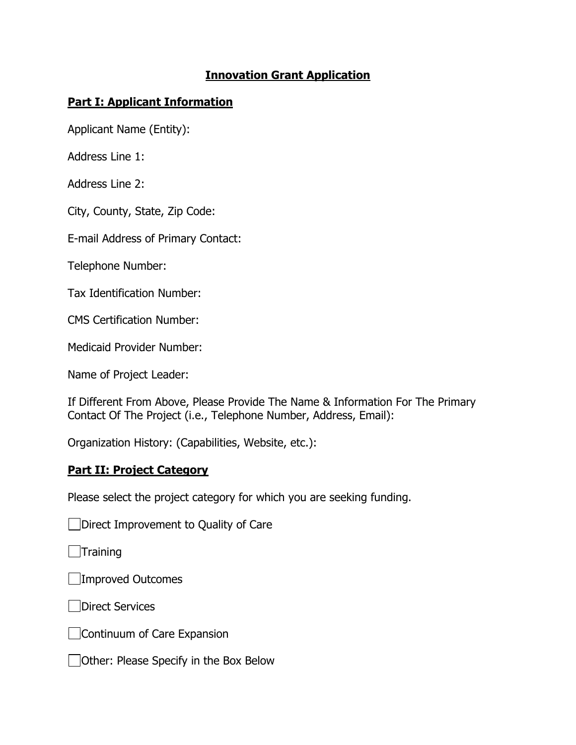### **Innovation Grant Application**

### **Part I: Applicant Information**

Applicant Name (Entity):

Address Line 1:

Address Line 2:

City, County, State, Zip Code:

E-mail Address of Primary Contact:

Telephone Number:

Tax Identification Number:

CMS Certification Number:

Medicaid Provider Number:

Name of Project Leader:

If Different From Above, Please Provide The Name & Information For The Primary Contact Of The Project (i.e., Telephone Number, Address, Email):

Organization History: (Capabilities, Website, etc.):

#### **Part II: Project Category**

Please select the project category for which you are seeking funding.

Direct Improvement to Quality of Care

 $\Box$ Training

Improved Outcomes

**Direct Services** 

Continuum of Care Expansion

Other: Please Specify in the Box Below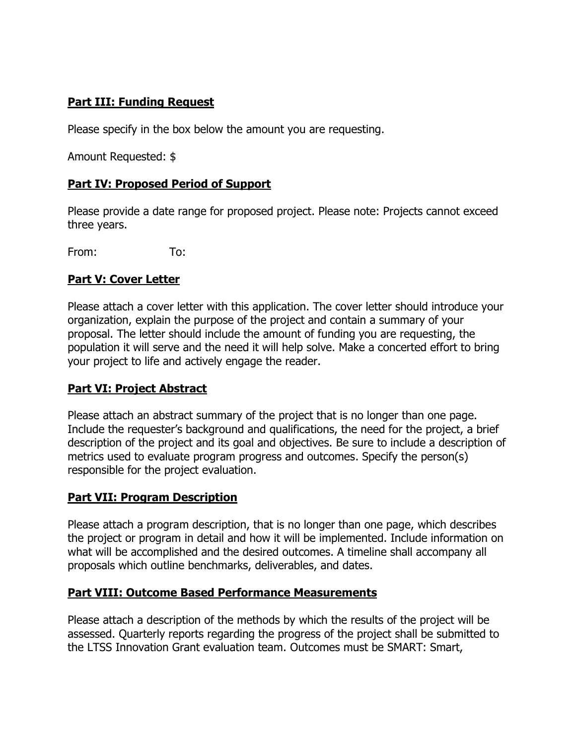# **Part III: Funding Request**

Please specify in the box below the amount you are requesting.

Amount Requested: \$

### **Part IV: Proposed Period of Support**

Please provide a date range for proposed project. Please note: Projects cannot exceed three years.

From: To:

### **Part V: Cover Letter**

Please attach a cover letter with this application. The cover letter should introduce your organization, explain the purpose of the project and contain a summary of your proposal. The letter should include the amount of funding you are requesting, the population it will serve and the need it will help solve. Make a concerted effort to bring your project to life and actively engage the reader.

# **Part VI: Project Abstract**

Please attach an abstract summary of the project that is no longer than one page. Include the requester's background and qualifications, the need for the project, a brief description of the project and its goal and objectives. Be sure to include a description of metrics used to evaluate program progress and outcomes. Specify the person(s) responsible for the project evaluation.

#### **Part VII: Program Description**

Please attach a program description, that is no longer than one page, which describes the project or program in detail and how it will be implemented. Include information on what will be accomplished and the desired outcomes. A timeline shall accompany all proposals which outline benchmarks, deliverables, and dates.

# **Part VIII: Outcome Based Performance Measurements**

Please attach a description of the methods by which the results of the project will be assessed. Quarterly reports regarding the progress of the project shall be submitted to the LTSS Innovation Grant evaluation team. Outcomes must be SMART: Smart,